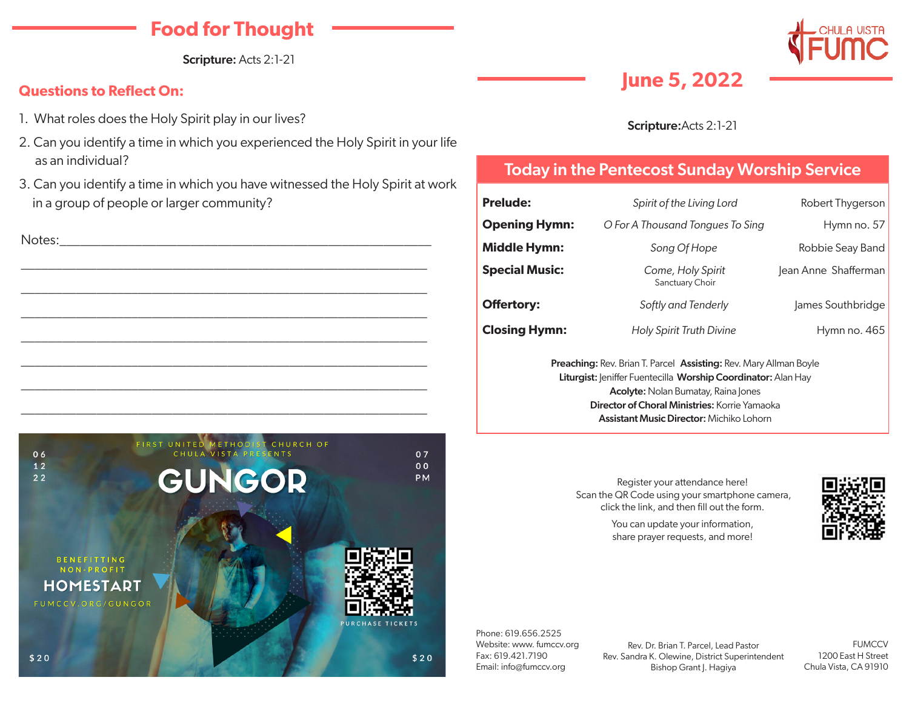# **Food for Thought**

Scripture: Acts 2:1-21

#### **Questions to Reflect On:**

- 1. What roles does the Holy Spirit play in our lives?
- 2. Can you identify a time in which you experienced the Holy Spirit in your life as an individual?
- 3. Can you identify a time in which you have witnessed the Holy Spirit at work in a group of people or larger community?



#### Phone: 619.656.2525 Website: www. fumccv.org Fax: 619.421.7190 Email: info@fumccv.org

Rev. Dr. Brian T. Parcel, Lead Pastor Rev. Sandra K. Olewine, District Superintendent Bishop Grant J. Hagiya

FUMCCV 1200 East H Street Chula Vista, CA 91910

# **June 5, 2022**



#### Scripture:Acts 2:1-21

## Today in the Pentecost Sunday Worship Service

| Spirit of the Living Lord                                                                                                                                                                                                                       | Robert Thygerson                                |  |  |  |  |
|-------------------------------------------------------------------------------------------------------------------------------------------------------------------------------------------------------------------------------------------------|-------------------------------------------------|--|--|--|--|
| O For A Thousand Tongues To Sing                                                                                                                                                                                                                | Hymn no. 57                                     |  |  |  |  |
| Song Of Hope                                                                                                                                                                                                                                    | Robbie Seay Band                                |  |  |  |  |
| Come, Holy Spirit<br>Sanctuary Choir                                                                                                                                                                                                            | Jean Anne Shafferman                            |  |  |  |  |
| Softly and Tenderly                                                                                                                                                                                                                             | James Southbridge                               |  |  |  |  |
| Holy Spirit Truth Divine                                                                                                                                                                                                                        | Hymn no. 465                                    |  |  |  |  |
| <b>Preaching: Rev. Brian T. Parcel Assisting: Rev. Mary Allman Boyle</b><br>Liturgist: Jeniffer Fuentecilla Worship Coordinator: Alan Hay<br><b>Acolyte:</b> Nolan Bumatay, Raina Jones<br><b>Director of Choral Ministries: Korrie Yamaoka</b> |                                                 |  |  |  |  |
|                                                                                                                                                                                                                                                 | <b>Assistant Music Director:</b> Michiko Lohorn |  |  |  |  |

Register your attendance here! Scan the QR Code using your smartphone camera, click the link, and then fill out the form.

> You can update your information, share prayer requests, and more!